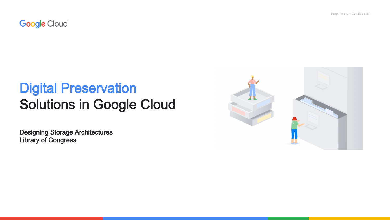Proprietary + Confidential

**Google Cloud** 

## **Digital Preservation Solutions in Google Cloud**

**Designing Storage Architectures Library of Congress** 

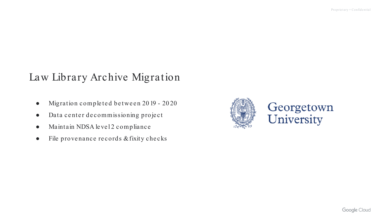### Law Library Archive Migration

- Migration completed between 2019 2020
- Data ce nte r de commissioning proje ct
- Maintain NDSA level 2 compliance
- File provenance records & fixity checks

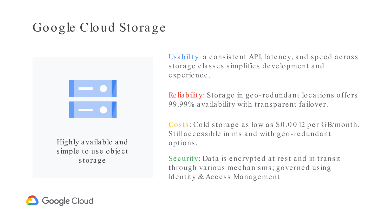## Google Cloud Storage



Highly a va ila ble a nd simple to use object storage

Usability: a consistent API, latency, and speed across storage classes simplifies development and experience.

Re liability: Storage in geo-redundant locations offers 99.99% availability with transparent failover.

Costs: Cold storage as low as \$0.0012 per GB/month. Still accessible in ms and with geo-redundant options.

Security: Data is encrypted at rest and in transit through various mechanisms; governed using Identity & Access Management

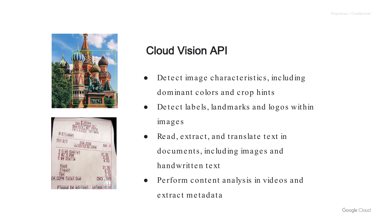

| <b>280 Bleecker St 7</b><br>New <i>Nork</i> 7 MV (10014)<br>Tel : (212) 727-2879<br><b>g</b> Elizabet |  |
|-------------------------------------------------------------------------------------------------------|--|
| Tb1211<br>ChR 2334<br>Gst IV<br>1 Crab Special<br>1 \$2.5 PBR<br>1 \$4 Stella<br>21.95                |  |
| 2.50<br>4.00<br>food<br>21.95<br>liquor<br>6.50<br>Tax<br>2.53                                        |  |
| 04:02PM Total Due<br>30.98<br>Please be advised:<br>unless noted                                      |  |

## Cloud Vision API

- Detect image characteristics, including dominant colors and crop hints
- Detect labels, landmarks and logos within image s
- Read, extract, and translate text in documents, including images and handwritten text
- Perform content analysis in videos and extract metadata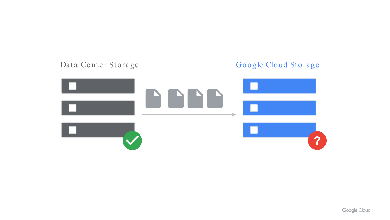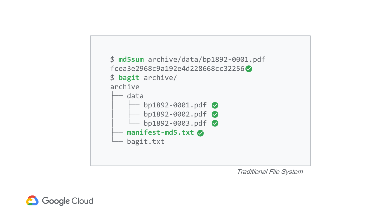

Traditional File System

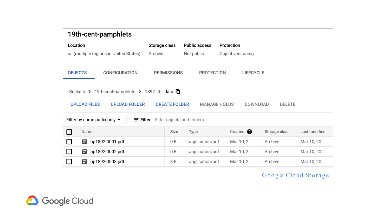| 19th-cent-pamphlets                                                                                                                                                                  |                    |                      |                   |               |               |  |  |
|--------------------------------------------------------------------------------------------------------------------------------------------------------------------------------------|--------------------|----------------------|-------------------|---------------|---------------|--|--|
| Location                                                                                                                                                                             | Storage class      | <b>Public access</b> | Protection        |               |               |  |  |
| us (multiple regions in United States)                                                                                                                                               | Archive            | Not public           | Object versioning |               |               |  |  |
| <b>OBJECTS</b><br><b>CONFIGURATION</b>                                                                                                                                               | <b>PERMISSIONS</b> | <b>PROTECTION</b>    | <b>LIFECYCLE</b>  |               |               |  |  |
| Buckets > 19th-cent-pamphlets > 1892 > data $\Box$<br><b>UPLOAD FILES</b><br><b>UPLOAD FOLDER</b><br><b>CREATE FOLDER</b><br><b>MANAGE HOLDS</b><br><b>DOWNLOAD</b><br><b>DELETE</b> |                    |                      |                   |               |               |  |  |
| Filter by name prefix only $\blacktriangledown$<br>Filter objects and folders<br>$\equiv$ Filter                                                                                     |                    |                      |                   |               |               |  |  |
| Name                                                                                                                                                                                 | Size               | Type                 | Created $\bullet$ | Storage class | Last modified |  |  |
| bp1892-0001.pdf<br>目<br>$\mathsf{L}$                                                                                                                                                 | 0B                 | application/pdf      | Mar 10, 2         | Archive       | Mar 10, 20    |  |  |
| bp1892-0002.pdf<br>$\mathbf{L}$<br>目                                                                                                                                                 | 0 B                | application/pdf      | Mar 10, 2         | Archive       | Mar 10, 20    |  |  |
| bp1892-0003.pdf<br>E                                                                                                                                                                 | 8 B                | application/pdf      | Mar 10, 2         | Archive       | Mar 10, 20    |  |  |

#### Google Cloud Storage

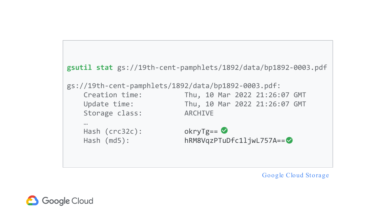```
gsutil stat gs://19th-cent-pamphlets/1892/data/bp1892-0003.pdf
gs://19th-cent-pamphlets/1892/data/bp1892-0003.pdf:
   Creation time: Thu, 10 Mar 2022 21:26:07 GMT
   Update time: Thu, 10 Mar 2022 21:26:07 GMT
   Storage class: ARCHIVE
   …
   Hash (\text{crc}32\text{c}): okryTg== \bulletHash (md5): hRM8VqzPTuDfc1ljwL757A==
```
Google Cloud Storage

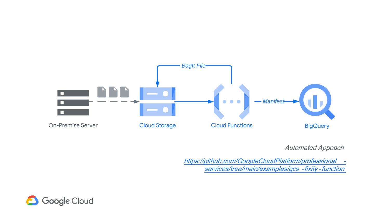

Automated Appoach

[https://github.com/GoogleCloudPlatform/professional](https://github.com/GoogleCloudPlatform/professional-services/tree/main/examples/gcs-fixity-function) services/tree/main/examples/gcs -fixity -function

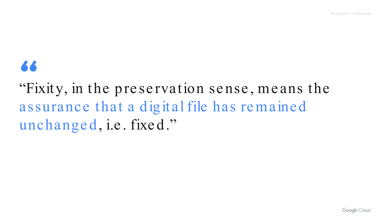# **A A**

# "Fixity, in the preservation sense, means the assurance that a digital file has remained unchanged, i.e. fixed."